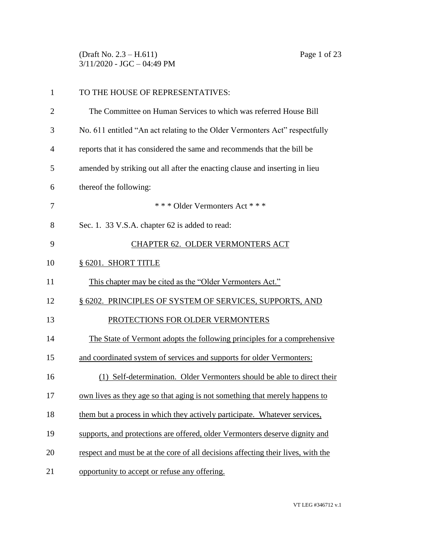(Draft No. 2.3 – H.611) Page 1 of 23 3/11/2020 - JGC – 04:49 PM

| $\mathbf{1}$   | TO THE HOUSE OF REPRESENTATIVES:                                                 |
|----------------|----------------------------------------------------------------------------------|
| $\overline{2}$ | The Committee on Human Services to which was referred House Bill                 |
| 3              | No. 611 entitled "An act relating to the Older Vermonters Act" respectfully      |
| $\overline{4}$ | reports that it has considered the same and recommends that the bill be          |
| 5              | amended by striking out all after the enacting clause and inserting in lieu      |
| 6              | thereof the following:                                                           |
| 7              | *** Older Vermonters Act ***                                                     |
| 8              | Sec. 1. 33 V.S.A. chapter 62 is added to read:                                   |
| 9              | CHAPTER 62. OLDER VERMONTERS ACT                                                 |
| 10             | § 6201. SHORT TITLE                                                              |
| 11             | This chapter may be cited as the "Older Vermonters Act."                         |
| 12             | § 6202. PRINCIPLES OF SYSTEM OF SERVICES, SUPPORTS, AND                          |
| 13             | PROTECTIONS FOR OLDER VERMONTERS                                                 |
| 14             | The State of Vermont adopts the following principles for a comprehensive         |
| 15             | and coordinated system of services and supports for older Vermonters:            |
| 16             | (1) Self-determination. Older Vermonters should be able to direct their          |
| 17             | own lives as they age so that aging is not something that merely happens to      |
| 18             | them but a process in which they actively participate. Whatever services,        |
| 19             | supports, and protections are offered, older Vermonters deserve dignity and      |
| 20             | respect and must be at the core of all decisions affecting their lives, with the |
| 21             | opportunity to accept or refuse any offering.                                    |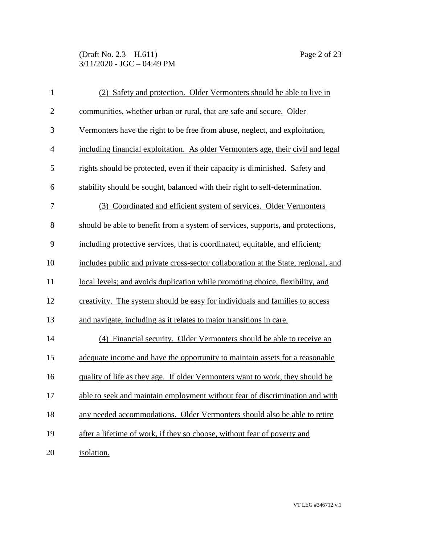### (Draft No. 2.3 – H.611) Page 2 of 23 3/11/2020 - JGC – 04:49 PM

| $\mathbf{1}$     | (2) Safety and protection. Older Vermonters should be able to live in              |
|------------------|------------------------------------------------------------------------------------|
| $\mathbf{2}$     | communities, whether urban or rural, that are safe and secure. Older               |
| 3                | Vermonters have the right to be free from abuse, neglect, and exploitation,        |
| $\overline{4}$   | including financial exploitation. As older Vermonters age, their civil and legal   |
| 5                | rights should be protected, even if their capacity is diminished. Safety and       |
| 6                | stability should be sought, balanced with their right to self-determination.       |
| $\boldsymbol{7}$ | (3) Coordinated and efficient system of services. Older Vermonters                 |
| 8                | should be able to benefit from a system of services, supports, and protections,    |
| 9                | including protective services, that is coordinated, equitable, and efficient;      |
| 10               | includes public and private cross-sector collaboration at the State, regional, and |
| 11               | local levels; and avoids duplication while promoting choice, flexibility, and      |
| 12               | creativity. The system should be easy for individuals and families to access       |
| 13               | and navigate, including as it relates to major transitions in care.                |
| 14               | (4) Financial security. Older Vermonters should be able to receive an              |
| 15               | adequate income and have the opportunity to maintain assets for a reasonable       |
| 16               | quality of life as they age. If older Vermonters want to work, they should be      |
| 17               | able to seek and maintain employment without fear of discrimination and with       |
| 18               | any needed accommodations. Older Vermonters should also be able to retire          |
| 19               | after a lifetime of work, if they so choose, without fear of poverty and           |
| 20               | isolation.                                                                         |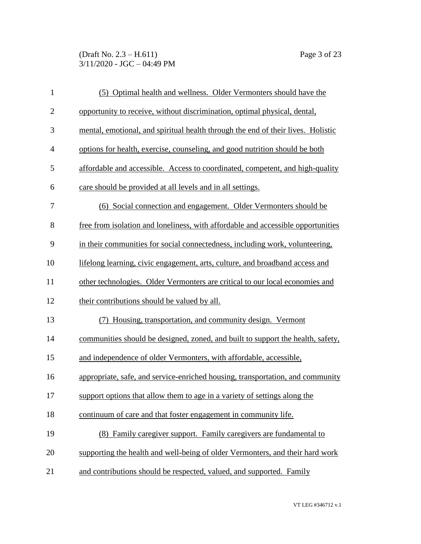(Draft No. 2.3 – H.611) Page 3 of 23 3/11/2020 - JGC – 04:49 PM

| $\mathbf{1}$   | (5) Optimal health and wellness. Older Vermonters should have the                |
|----------------|----------------------------------------------------------------------------------|
| $\mathbf{2}$   | opportunity to receive, without discrimination, optimal physical, dental,        |
| 3              | mental, emotional, and spiritual health through the end of their lives. Holistic |
| $\overline{4}$ | options for health, exercise, counseling, and good nutrition should be both      |
| 5              | affordable and accessible. Access to coordinated, competent, and high-quality    |
| 6              | care should be provided at all levels and in all settings.                       |
| 7              | (6) Social connection and engagement. Older Vermonters should be                 |
| 8              | free from isolation and loneliness, with affordable and accessible opportunities |
| 9              | in their communities for social connectedness, including work, volunteering,     |
| 10             | lifelong learning, civic engagement, arts, culture, and broadband access and     |
| 11             | other technologies. Older Vermonters are critical to our local economies and     |
| 12             | their contributions should be valued by all.                                     |
| 13             | (7) Housing, transportation, and community design. Vermont                       |
| 14             | communities should be designed, zoned, and built to support the health, safety,  |
| 15             | and independence of older Vermonters, with affordable, accessible,               |
| 16             | appropriate, safe, and service-enriched housing, transportation, and community   |
| 17             | support options that allow them to age in a variety of settings along the        |
| 18             | continuum of care and that foster engagement in community life.                  |
| 19             | (8) Family caregiver support. Family caregivers are fundamental to               |
| 20             | supporting the health and well-being of older Vermonters, and their hard work    |
| 21             | and contributions should be respected, valued, and supported. Family             |
|                |                                                                                  |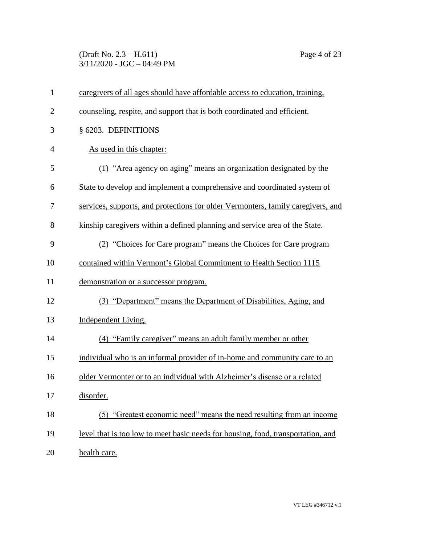(Draft No. 2.3 – H.611) Page 4 of 23 3/11/2020 - JGC – 04:49 PM

| $\mathbf{1}$   | caregivers of all ages should have affordable access to education, training,     |
|----------------|----------------------------------------------------------------------------------|
| $\overline{2}$ | counseling, respite, and support that is both coordinated and efficient.         |
| 3              | § 6203. DEFINITIONS                                                              |
| $\overline{4}$ | As used in this chapter:                                                         |
| 5              | (1) "Area agency on aging" means an organization designated by the               |
| 6              | State to develop and implement a comprehensive and coordinated system of         |
| 7              | services, supports, and protections for older Vermonters, family caregivers, and |
| 8              | kinship caregivers within a defined planning and service area of the State.      |
| 9              | (2) "Choices for Care program" means the Choices for Care program                |
| 10             | contained within Vermont's Global Commitment to Health Section 1115              |
| 11             | demonstration or a successor program.                                            |
| 12             | (3) "Department" means the Department of Disabilities, Aging, and                |
| 13             | Independent Living.                                                              |
| 14             | (4) "Family caregiver" means an adult family member or other                     |
| 15             | individual who is an informal provider of in-home and community care to an       |
| 16             | older Vermonter or to an individual with Alzheimer's disease or a related        |
| 17             | disorder.                                                                        |
| 18             | (5) "Greatest economic need" means the need resulting from an income             |
| 19             | level that is too low to meet basic needs for housing, food, transportation, and |
| 20             | health care.                                                                     |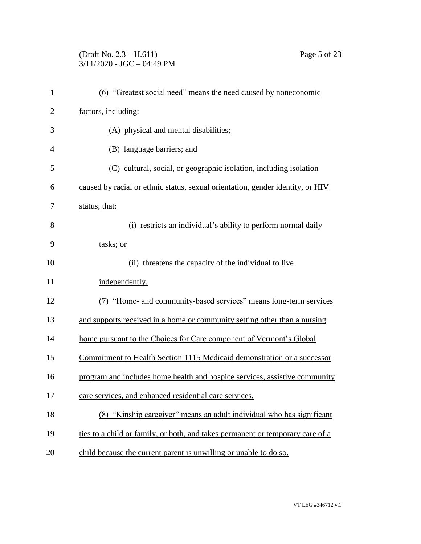# (Draft No. 2.3 – H.611) Page 5 of 23 3/11/2020 - JGC – 04:49 PM

| $\mathbf{1}$   | (6) "Greatest social need" means the need caused by noneconomic                |
|----------------|--------------------------------------------------------------------------------|
| $\overline{c}$ | factors, including:                                                            |
| 3              | (A) physical and mental disabilities;                                          |
| 4              | (B) language barriers; and                                                     |
| 5              | (C) cultural, social, or geographic isolation, including isolation             |
| 6              | caused by racial or ethnic status, sexual orientation, gender identity, or HIV |
| 7              | status, that:                                                                  |
| 8              | (i) restricts an individual's ability to perform normal daily                  |
| 9              | tasks; or                                                                      |
| 10             | threatens the capacity of the individual to live<br>(ii)                       |
| 11             | independently.                                                                 |
| 12             | (7) "Home- and community-based services" means long-term services              |
| 13             | and supports received in a home or community setting other than a nursing      |
| 14             | home pursuant to the Choices for Care component of Vermont's Global            |
| 15             | Commitment to Health Section 1115 Medicaid demonstration or a successor        |
| 16             | program and includes home health and hospice services, assistive community     |
| 17             | care services, and enhanced residential care services.                         |
| 18             | (8) "Kinship caregiver" means an adult individual who has significant          |
| 19             | ties to a child or family, or both, and takes permanent or temporary care of a |
| 20             | child because the current parent is unwilling or unable to do so.              |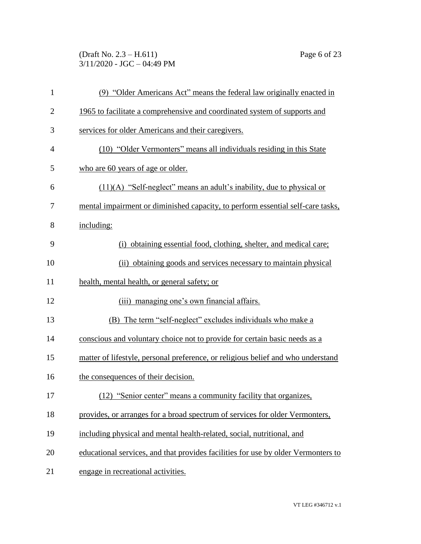(Draft No. 2.3 – H.611) Page 6 of 23 3/11/2020 - JGC – 04:49 PM

| $\mathbf{1}$   | (9) "Older Americans Act" means the federal law originally enacted in             |
|----------------|-----------------------------------------------------------------------------------|
| $\overline{2}$ | 1965 to facilitate a comprehensive and coordinated system of supports and         |
| 3              | services for older Americans and their caregivers.                                |
| 4              | (10) "Older Vermonters" means all individuals residing in this State              |
| 5              | who are 60 years of age or older.                                                 |
| 6              | $(11)(A)$ "Self-neglect" means an adult's inability, due to physical or           |
| 7              | mental impairment or diminished capacity, to perform essential self-care tasks,   |
| 8              | including:                                                                        |
| 9              | (i) obtaining essential food, clothing, shelter, and medical care;                |
| 10             | (ii) obtaining goods and services necessary to maintain physical                  |
| 11             | health, mental health, or general safety; or                                      |
| 12             | (iii) managing one's own financial affairs.                                       |
| 13             | (B) The term "self-neglect" excludes individuals who make a                       |
| 14             | conscious and voluntary choice not to provide for certain basic needs as a        |
| 15             | matter of lifestyle, personal preference, or religious belief and who understand  |
| 16             | the consequences of their decision.                                               |
| 17             | (12) "Senior center" means a community facility that organizes,                   |
| 18             | provides, or arranges for a broad spectrum of services for older Vermonters,      |
| 19             | including physical and mental health-related, social, nutritional, and            |
| 20             | educational services, and that provides facilities for use by older Vermonters to |
| 21             | engage in recreational activities.                                                |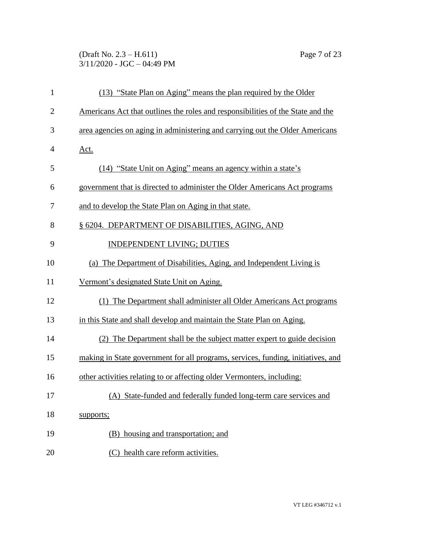### (Draft No. 2.3 – H.611) Page 7 of 23 3/11/2020 - JGC – 04:49 PM

| $\mathbf{1}$   | (13) "State Plan on Aging" means the plan required by the Older                  |
|----------------|----------------------------------------------------------------------------------|
| $\overline{2}$ | Americans Act that outlines the roles and responsibilities of the State and the  |
| 3              | area agencies on aging in administering and carrying out the Older Americans     |
| $\overline{4}$ | <u>Act.</u>                                                                      |
| 5              | (14) "State Unit on Aging" means an agency within a state's                      |
| 6              | government that is directed to administer the Older Americans Act programs       |
| 7              | and to develop the State Plan on Aging in that state.                            |
| 8              | § 6204. DEPARTMENT OF DISABILITIES, AGING, AND                                   |
| 9              | <b>INDEPENDENT LIVING; DUTIES</b>                                                |
| 10             | (a) The Department of Disabilities, Aging, and Independent Living is             |
| 11             | Vermont's designated State Unit on Aging.                                        |
| 12             | (1) The Department shall administer all Older Americans Act programs             |
| 13             | in this State and shall develop and maintain the State Plan on Aging.            |
| 14             | (2) The Department shall be the subject matter expert to guide decision          |
| 15             | making in State government for all programs, services, funding, initiatives, and |
| 16             | other activities relating to or affecting older Vermonters, including:           |
| 17             | (A) State-funded and federally funded long-term care services and                |
| 18             | supports;                                                                        |
| 19             | (B) housing and transportation; and                                              |
| 20             | (C) health care reform activities.                                               |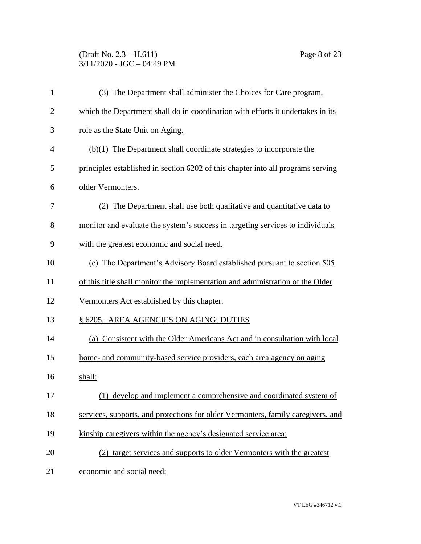(Draft No. 2.3 – H.611) Page 8 of 23 3/11/2020 - JGC – 04:49 PM

| $\mathbf{1}$   | (3) The Department shall administer the Choices for Care program,                |
|----------------|----------------------------------------------------------------------------------|
| $\overline{2}$ | which the Department shall do in coordination with efforts it undertakes in its  |
| 3              | role as the State Unit on Aging.                                                 |
| 4              | $(b)(1)$ The Department shall coordinate strategies to incorporate the           |
| 5              | principles established in section 6202 of this chapter into all programs serving |
| 6              | older Vermonters.                                                                |
| 7              | (2) The Department shall use both qualitative and quantitative data to           |
| 8              | monitor and evaluate the system's success in targeting services to individuals   |
| 9              | with the greatest economic and social need.                                      |
| 10             | (c) The Department's Advisory Board established pursuant to section 505          |
| 11             | of this title shall monitor the implementation and administration of the Older   |
| 12             | Vermonters Act established by this chapter.                                      |
| 13             | § 6205. AREA AGENCIES ON AGING; DUTIES                                           |
| 14             | (a) Consistent with the Older Americans Act and in consultation with local       |
| 15             | home- and community-based service providers, each area agency on aging           |
| 16             | shall:                                                                           |
| 17             | (1) develop and implement a comprehensive and coordinated system of              |
| 18             | services, supports, and protections for older Vermonters, family caregivers, and |
| 19             | kinship caregivers within the agency's designated service area;                  |
| 20             | (2) target services and supports to older Vermonters with the greatest           |
| 21             | economic and social need;                                                        |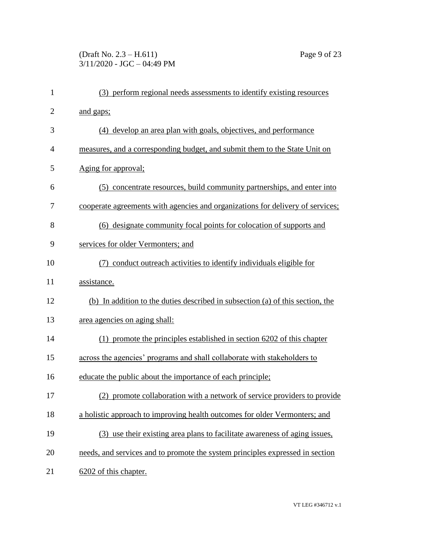# (Draft No. 2.3 – H.611) Page 9 of 23 3/11/2020 - JGC – 04:49 PM

| $\mathbf{1}$   | (3) perform regional needs assessments to identify existing resources          |
|----------------|--------------------------------------------------------------------------------|
| $\overline{2}$ | and gaps;                                                                      |
| 3              | (4) develop an area plan with goals, objectives, and performance               |
| 4              | measures, and a corresponding budget, and submit them to the State Unit on     |
| 5              | Aging for approval;                                                            |
| 6              | (5) concentrate resources, build community partnerships, and enter into        |
| 7              | cooperate agreements with agencies and organizations for delivery of services; |
| 8              | (6) designate community focal points for colocation of supports and            |
| 9              | services for older Vermonters; and                                             |
| 10             | conduct outreach activities to identify individuals eligible for               |
| 11             | assistance.                                                                    |
| 12             | (b) In addition to the duties described in subsection (a) of this section, the |
| 13             | area agencies on aging shall:                                                  |
| 14             | (1) promote the principles established in section 6202 of this chapter         |
| 15             | across the agencies' programs and shall collaborate with stakeholders to       |
| 16             | educate the public about the importance of each principle;                     |
| 17             | (2) promote collaboration with a network of service providers to provide       |
| 18             | a holistic approach to improving health outcomes for older Vermonters; and     |
| 19             | (3) use their existing area plans to facilitate awareness of aging issues,     |
| 20             | needs, and services and to promote the system principles expressed in section  |
| 21             | 6202 of this chapter.                                                          |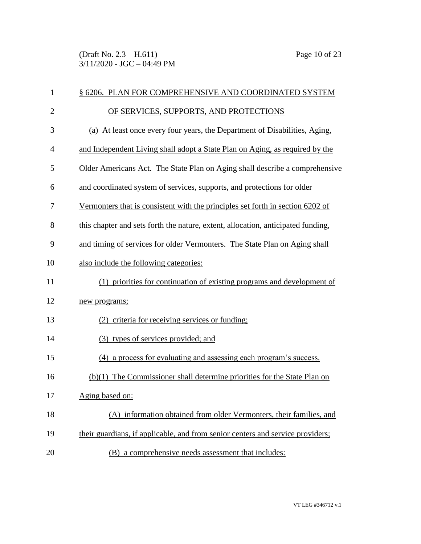(Draft No. 2.3 – H.611) Page 10 of 23 3/11/2020 - JGC – 04:49 PM

| $\mathbf{1}$   | § 6206. PLAN FOR COMPREHENSIVE AND COORDINATED SYSTEM                            |
|----------------|----------------------------------------------------------------------------------|
| $\overline{2}$ | OF SERVICES, SUPPORTS, AND PROTECTIONS                                           |
| 3              | (a) At least once every four years, the Department of Disabilities, Aging,       |
| 4              | and Independent Living shall adopt a State Plan on Aging, as required by the     |
| 5              | Older Americans Act. The State Plan on Aging shall describe a comprehensive      |
| 6              | and coordinated system of services, supports, and protections for older          |
| 7              | Vermonters that is consistent with the principles set forth in section 6202 of   |
| 8              | this chapter and sets forth the nature, extent, allocation, anticipated funding, |
| 9              | and timing of services for older Vermonters. The State Plan on Aging shall       |
| 10             | also include the following categories:                                           |
| 11             | (1) priorities for continuation of existing programs and development of          |
| 12             | new programs;                                                                    |
| 13             | (2) criteria for receiving services or funding;                                  |
| 14             | (3) types of services provided; and                                              |
| 15             | (4) a process for evaluating and assessing each program's success.               |
| 16             | $(b)(1)$ The Commissioner shall determine priorities for the State Plan on       |
| 17             | Aging based on:                                                                  |
| 18             | (A) information obtained from older Vermonters, their families, and              |
| 19             | their guardians, if applicable, and from senior centers and service providers;   |
| 20             | (B) a comprehensive needs assessment that includes:                              |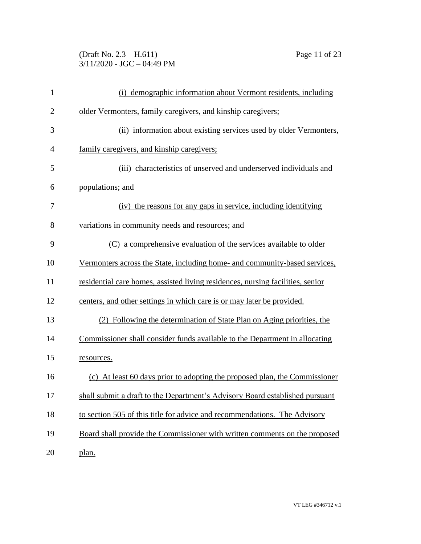# (Draft No. 2.3 – H.611) Page 11 of 23 3/11/2020 - JGC – 04:49 PM

| $\mathbf{1}$   | (i) demographic information about Vermont residents, including                 |
|----------------|--------------------------------------------------------------------------------|
| $\overline{2}$ | older Vermonters, family caregivers, and kinship caregivers;                   |
| 3              | (ii) information about existing services used by older Vermonters,             |
| 4              | family caregivers, and kinship caregivers;                                     |
| 5              | (iii) characteristics of unserved and underserved individuals and              |
| 6              | populations; and                                                               |
| 7              | (iv) the reasons for any gaps in service, including identifying                |
| 8              | variations in community needs and resources; and                               |
| 9              | (C) a comprehensive evaluation of the services available to older              |
| 10             | Vermonters across the State, including home- and community-based services,     |
| 11             | residential care homes, assisted living residences, nursing facilities, senior |
| 12             | centers, and other settings in which care is or may later be provided.         |
| 13             | (2) Following the determination of State Plan on Aging priorities, the         |
| 14             | Commissioner shall consider funds available to the Department in allocating    |
| 15             | resources.                                                                     |
| 16             | (c) At least 60 days prior to adopting the proposed plan, the Commissioner     |
| 17             | shall submit a draft to the Department's Advisory Board established pursuant   |
| 18             | to section 505 of this title for advice and recommendations. The Advisory      |
| 19             | Board shall provide the Commissioner with written comments on the proposed     |
| 20             | plan.                                                                          |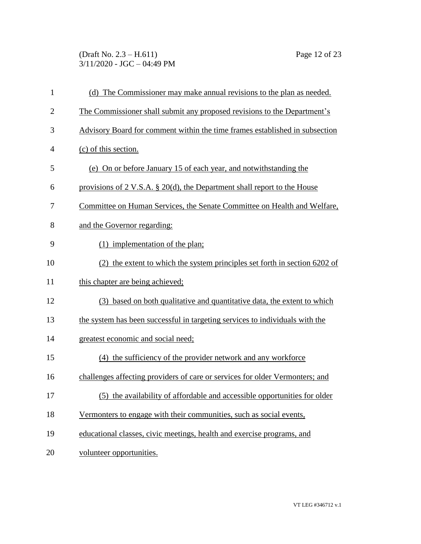(Draft No. 2.3 – H.611) Page 12 of 23 3/11/2020 - JGC – 04:49 PM

| $\mathbf{1}$   | (d) The Commissioner may make annual revisions to the plan as needed.        |
|----------------|------------------------------------------------------------------------------|
| $\overline{2}$ | The Commissioner shall submit any proposed revisions to the Department's     |
| 3              | Advisory Board for comment within the time frames established in subsection  |
| $\overline{4}$ | (c) of this section.                                                         |
| 5              | (e) On or before January 15 of each year, and notwithstanding the            |
| 6              | provisions of 2 V.S.A. $\S$ 20(d), the Department shall report to the House  |
| 7              | Committee on Human Services, the Senate Committee on Health and Welfare,     |
| 8              | and the Governor regarding:                                                  |
| 9              | (1) implementation of the plan;                                              |
| 10             | (2) the extent to which the system principles set forth in section 6202 of   |
| 11             | this chapter are being achieved;                                             |
| 12             | (3) based on both qualitative and quantitative data, the extent to which     |
| 13             | the system has been successful in targeting services to individuals with the |
| 14             | greatest economic and social need;                                           |
| 15             | (4) the sufficiency of the provider network and any workforce                |
| 16             | challenges affecting providers of care or services for older Vermonters; and |
| 17             | (5) the availability of affordable and accessible opportunities for older    |
| 18             | Vermonters to engage with their communities, such as social events,          |
| 19             | educational classes, civic meetings, health and exercise programs, and       |
| 20             | volunteer opportunities.                                                     |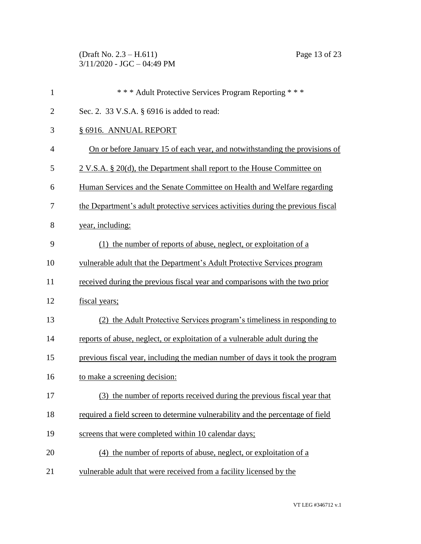(Draft No. 2.3 – H.611) Page 13 of 23 3/11/2020 - JGC – 04:49 PM

| $\mathbf{1}$   | *** Adult Protective Services Program Reporting ***                              |
|----------------|----------------------------------------------------------------------------------|
| $\overline{2}$ | Sec. 2. 33 V.S.A. § 6916 is added to read:                                       |
| 3              | § 6916. ANNUAL REPORT                                                            |
| $\overline{4}$ | On or before January 15 of each year, and notwithstanding the provisions of      |
| 5              | 2 V.S.A. § 20(d), the Department shall report to the House Committee on          |
| 6              | Human Services and the Senate Committee on Health and Welfare regarding          |
| 7              | the Department's adult protective services activities during the previous fiscal |
| 8              | year, including:                                                                 |
| 9              | (1) the number of reports of abuse, neglect, or exploitation of a                |
| 10             | vulnerable adult that the Department's Adult Protective Services program         |
| 11             | received during the previous fiscal year and comparisons with the two prior      |
| 12             | fiscal years;                                                                    |
| 13             | (2) the Adult Protective Services program's timeliness in responding to          |
| 14             | reports of abuse, neglect, or exploitation of a vulnerable adult during the      |
| 15             | previous fiscal year, including the median number of days it took the program    |
| 16             | to make a screening decision:                                                    |
| 17             | (3) the number of reports received during the previous fiscal year that          |
| 18             | required a field screen to determine vulnerability and the percentage of field   |
| 19             | screens that were completed within 10 calendar days;                             |
| 20             | (4) the number of reports of abuse, neglect, or exploitation of a                |
| 21             | vulnerable adult that were received from a facility licensed by the              |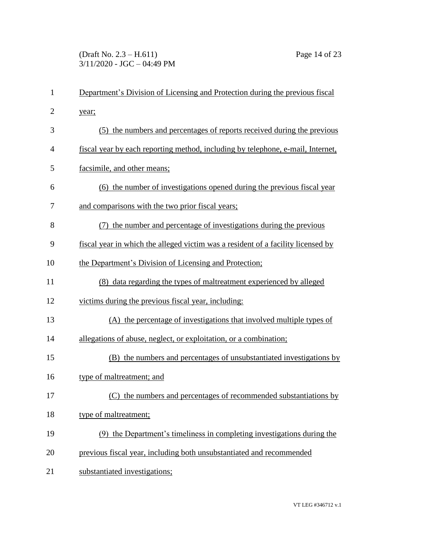### (Draft No. 2.3 – H.611) Page 14 of 23 3/11/2020 - JGC – 04:49 PM

| $\mathbf{1}$   | Department's Division of Licensing and Protection during the previous fiscal     |
|----------------|----------------------------------------------------------------------------------|
| $\overline{2}$ | year;                                                                            |
| 3              | (5) the numbers and percentages of reports received during the previous          |
| 4              | fiscal year by each reporting method, including by telephone, e-mail, Internet,  |
| 5              | facsimile, and other means;                                                      |
| 6              | (6) the number of investigations opened during the previous fiscal year          |
| 7              | and comparisons with the two prior fiscal years;                                 |
| 8              | (7) the number and percentage of investigations during the previous              |
| 9              | fiscal year in which the alleged victim was a resident of a facility licensed by |
| 10             | the Department's Division of Licensing and Protection;                           |
| 11             | (8) data regarding the types of maltreatment experienced by alleged              |
| 12             | victims during the previous fiscal year, including:                              |
| 13             | (A) the percentage of investigations that involved multiple types of             |
| 14             | allegations of abuse, neglect, or exploitation, or a combination;                |
| 15             | (B) the numbers and percentages of unsubstantiated investigations by             |
| 16             | type of maltreatment; and                                                        |
| 17             | (C) the numbers and percentages of recommended substantiations by                |
| 18             | type of maltreatment;                                                            |
| 19             | (9) the Department's timeliness in completing investigations during the          |
| 20             | previous fiscal year, including both unsubstantiated and recommended             |
| 21             | substantiated investigations;                                                    |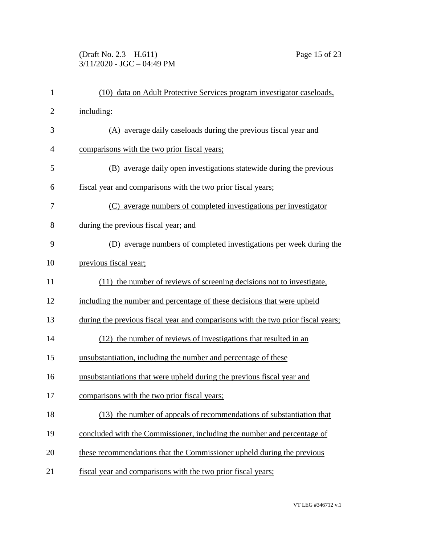# (Draft No. 2.3 – H.611) Page 15 of 23 3/11/2020 - JGC – 04:49 PM

| (10) data on Adult Protective Services program investigator caseloads,           |
|----------------------------------------------------------------------------------|
| including:                                                                       |
| (A) average daily caseloads during the previous fiscal year and                  |
| comparisons with the two prior fiscal years;                                     |
| (B) average daily open investigations statewide during the previous              |
| fiscal year and comparisons with the two prior fiscal years;                     |
| (C) average numbers of completed investigations per investigator                 |
| during the previous fiscal year; and                                             |
| (D) average numbers of completed investigations per week during the              |
| previous fiscal year;                                                            |
| (11) the number of reviews of screening decisions not to investigate,            |
| including the number and percentage of these decisions that were upheld          |
| during the previous fiscal year and comparisons with the two prior fiscal years; |
| (12) the number of reviews of investigations that resulted in an                 |
| unsubstantiation, including the number and percentage of these                   |
| unsubstantiations that were upheld during the previous fiscal year and           |
| comparisons with the two prior fiscal years;                                     |
| (13) the number of appeals of recommendations of substantiation that             |
| concluded with the Commissioner, including the number and percentage of          |
| these recommendations that the Commissioner upheld during the previous           |
| fiscal year and comparisons with the two prior fiscal years;                     |
|                                                                                  |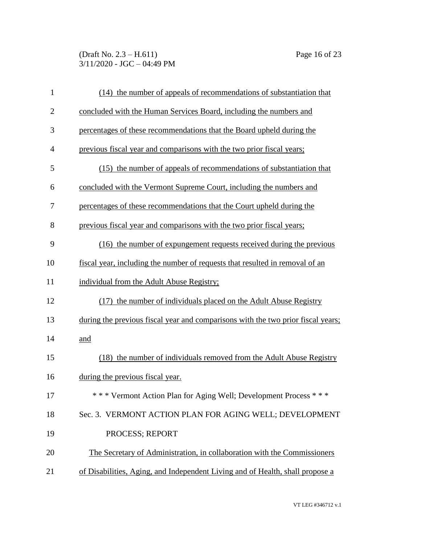(Draft No. 2.3 – H.611) Page 16 of 23 3/11/2020 - JGC – 04:49 PM

| $\mathbf{1}$   | (14) the number of appeals of recommendations of substantiation that             |
|----------------|----------------------------------------------------------------------------------|
| $\overline{2}$ | concluded with the Human Services Board, including the numbers and               |
| 3              | percentages of these recommendations that the Board upheld during the            |
| $\overline{4}$ | previous fiscal year and comparisons with the two prior fiscal years;            |
| 5              | (15) the number of appeals of recommendations of substantiation that             |
| 6              | concluded with the Vermont Supreme Court, including the numbers and              |
| 7              | percentages of these recommendations that the Court upheld during the            |
| 8              | previous fiscal year and comparisons with the two prior fiscal years;            |
| 9              | (16) the number of expungement requests received during the previous             |
| 10             | fiscal year, including the number of requests that resulted in removal of an     |
| 11             | individual from the Adult Abuse Registry;                                        |
| 12             | (17) the number of individuals placed on the Adult Abuse Registry                |
| 13             | during the previous fiscal year and comparisons with the two prior fiscal years; |
| 14             | and                                                                              |
| 15             | (18) the number of individuals removed from the Adult Abuse Registry             |
| 16             | during the previous fiscal year.                                                 |
| 17             | *** Vermont Action Plan for Aging Well; Development Process ***                  |
| 18             | Sec. 3. VERMONT ACTION PLAN FOR AGING WELL; DEVELOPMENT                          |
| 19             | PROCESS; REPORT                                                                  |
| 20             | The Secretary of Administration, in collaboration with the Commissioners         |
| 21             | of Disabilities, Aging, and Independent Living and of Health, shall propose a    |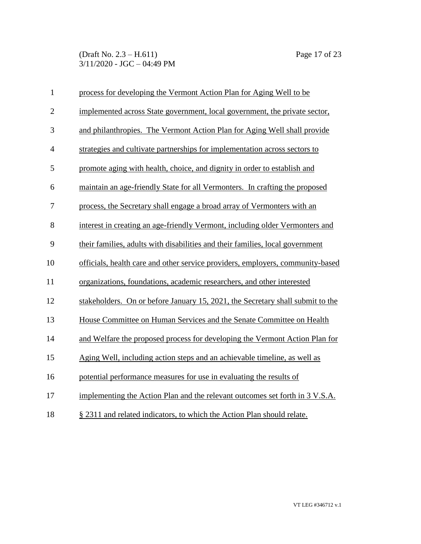(Draft No. 2.3 – H.611) Page 17 of 23 3/11/2020 - JGC – 04:49 PM

| $\mathbf{1}$   | process for developing the Vermont Action Plan for Aging Well to be            |
|----------------|--------------------------------------------------------------------------------|
| $\overline{2}$ | implemented across State government, local government, the private sector,     |
| 3              | and philanthropies. The Vermont Action Plan for Aging Well shall provide       |
| $\overline{4}$ | strategies and cultivate partnerships for implementation across sectors to     |
| 5              | promote aging with health, choice, and dignity in order to establish and       |
| 6              | maintain an age-friendly State for all Vermonters. In crafting the proposed    |
| 7              | process, the Secretary shall engage a broad array of Vermonters with an        |
| 8              | interest in creating an age-friendly Vermont, including older Vermonters and   |
| 9              | their families, adults with disabilities and their families, local government  |
| 10             | officials, health care and other service providers, employers, community-based |
| 11             | organizations, foundations, academic researchers, and other interested         |
| 12             | stakeholders. On or before January 15, 2021, the Secretary shall submit to the |
| 13             | House Committee on Human Services and the Senate Committee on Health           |
| 14             | and Welfare the proposed process for developing the Vermont Action Plan for    |
| 15             | Aging Well, including action steps and an achievable timeline, as well as      |
| 16             | potential performance measures for use in evaluating the results of            |
| 17             | implementing the Action Plan and the relevant outcomes set forth in 3 V.S.A.   |
| 18             | § 2311 and related indicators, to which the Action Plan should relate.         |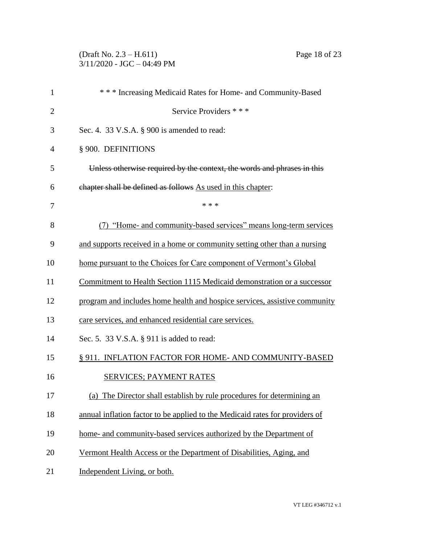# (Draft No. 2.3 – H.611) Page 18 of 23 3/11/2020 - JGC – 04:49 PM

| *** Increasing Medicaid Rates for Home- and Community-Based                  |
|------------------------------------------------------------------------------|
| Service Providers * * *                                                      |
| Sec. 4. 33 V.S.A. § 900 is amended to read:                                  |
| § 900. DEFINITIONS                                                           |
| Unless otherwise required by the context, the words and phrases in this      |
| chapter shall be defined as follows As used in this chapter:                 |
| * * *                                                                        |
| (7) "Home- and community-based services" means long-term services            |
| and supports received in a home or community setting other than a nursing    |
| home pursuant to the Choices for Care component of Vermont's Global          |
| Commitment to Health Section 1115 Medicaid demonstration or a successor      |
| program and includes home health and hospice services, assistive community   |
| care services, and enhanced residential care services.                       |
| Sec. 5. 33 V.S.A. § 911 is added to read:                                    |
| § 911. INFLATION FACTOR FOR HOME-AND COMMUNITY-BASED                         |
| <b>SERVICES; PAYMENT RATES</b>                                               |
| (a) The Director shall establish by rule procedures for determining an       |
| annual inflation factor to be applied to the Medicaid rates for providers of |
| home- and community-based services authorized by the Department of           |
| Vermont Health Access or the Department of Disabilities, Aging, and          |
| Independent Living, or both.                                                 |
|                                                                              |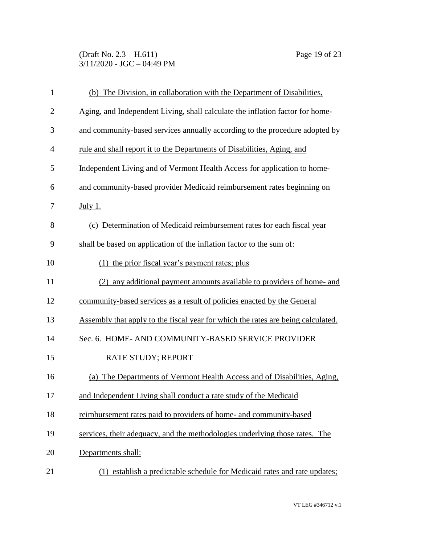(Draft No. 2.3 – H.611) Page 19 of 23 3/11/2020 - JGC – 04:49 PM

| $\mathbf{1}$   | (b) The Division, in collaboration with the Department of Disabilities,          |
|----------------|----------------------------------------------------------------------------------|
| $\overline{2}$ | Aging, and Independent Living, shall calculate the inflation factor for home-    |
| 3              | and community-based services annually according to the procedure adopted by      |
| 4              | rule and shall report it to the Departments of Disabilities, Aging, and          |
| 5              | Independent Living and of Vermont Health Access for application to home-         |
| 6              | and community-based provider Medicaid reimbursement rates beginning on           |
| 7              | July 1.                                                                          |
| 8              | (c) Determination of Medicaid reimbursement rates for each fiscal year           |
| 9              | shall be based on application of the inflation factor to the sum of:             |
| 10             | (1) the prior fiscal year's payment rates; plus                                  |
| 11             | (2) any additional payment amounts available to providers of home- and           |
| 12             | community-based services as a result of policies enacted by the General          |
| 13             | Assembly that apply to the fiscal year for which the rates are being calculated. |
| 14             | Sec. 6. HOME- AND COMMUNITY-BASED SERVICE PROVIDER                               |
| 15             | RATE STUDY; REPORT                                                               |
| 16             | (a) The Departments of Vermont Health Access and of Disabilities, Aging,         |
| 17             | and Independent Living shall conduct a rate study of the Medicaid                |
| 18             | reimbursement rates paid to providers of home- and community-based               |
| 19             | services, their adequacy, and the methodologies underlying those rates. The      |
| 20             | Departments shall:                                                               |
| 21             | (1) establish a predictable schedule for Medicaid rates and rate updates;        |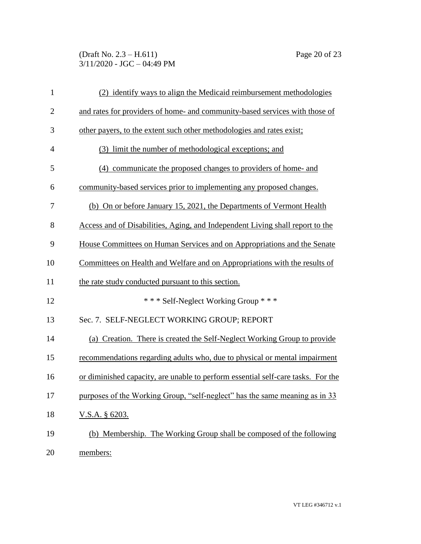#### (Draft No. 2.3 – H.611) Page 20 of 23 3/11/2020 - JGC – 04:49 PM

| $\mathbf{1}$   | (2) identify ways to align the Medicaid reimbursement methodologies              |
|----------------|----------------------------------------------------------------------------------|
| $\overline{2}$ | and rates for providers of home- and community-based services with those of      |
| 3              | other payers, to the extent such other methodologies and rates exist;            |
| $\overline{4}$ | (3) limit the number of methodological exceptions; and                           |
| 5              | (4) communicate the proposed changes to providers of home- and                   |
| 6              | community-based services prior to implementing any proposed changes.             |
| 7              | (b) On or before January 15, 2021, the Departments of Vermont Health             |
| 8              | Access and of Disabilities, Aging, and Independent Living shall report to the    |
| 9              | House Committees on Human Services and on Appropriations and the Senate          |
| 10             | Committees on Health and Welfare and on Appropriations with the results of       |
| 11             | the rate study conducted pursuant to this section.                               |
| 12             | *** Self-Neglect Working Group ***                                               |
| 13             | Sec. 7. SELF-NEGLECT WORKING GROUP; REPORT                                       |
| 14             | (a) Creation. There is created the Self-Neglect Working Group to provide         |
| 15             | recommendations regarding adults who, due to physical or mental impairment       |
| 16             | or diminished capacity, are unable to perform essential self-care tasks. For the |
| 17             | purposes of the Working Group, "self-neglect" has the same meaning as in 33      |
| 18             | <u>V.S.A.</u> § 6203.                                                            |
| 19             | (b) Membership. The Working Group shall be composed of the following             |
| 20             | members:                                                                         |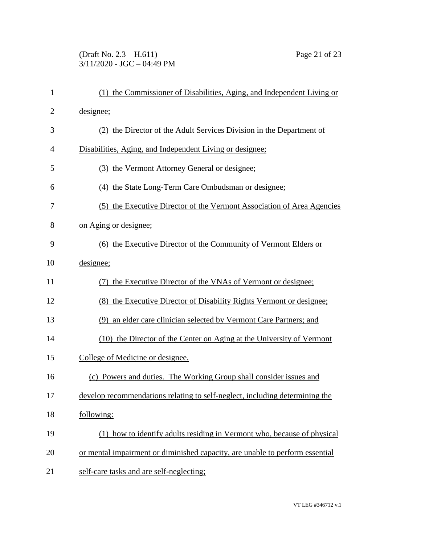## (Draft No. 2.3 – H.611) Page 21 of 23 3/11/2020 - JGC – 04:49 PM

| $\mathbf{1}$   | (1) the Commissioner of Disabilities, Aging, and Independent Living or       |
|----------------|------------------------------------------------------------------------------|
| $\overline{2}$ | designee;                                                                    |
| 3              | (2) the Director of the Adult Services Division in the Department of         |
| $\overline{4}$ | Disabilities, Aging, and Independent Living or designee;                     |
| 5              | (3) the Vermont Attorney General or designee;                                |
| 6              | (4) the State Long-Term Care Ombudsman or designee;                          |
| 7              | (5) the Executive Director of the Vermont Association of Area Agencies       |
| 8              | on Aging or designee;                                                        |
| 9              | (6) the Executive Director of the Community of Vermont Elders or             |
| 10             | designee;                                                                    |
| 11             | (7) the Executive Director of the VNAs of Vermont or designee;               |
| 12             | (8) the Executive Director of Disability Rights Vermont or designee;         |
| 13             | (9) an elder care clinician selected by Vermont Care Partners; and           |
| 14             | (10) the Director of the Center on Aging at the University of Vermont        |
| 15             | College of Medicine or designee.                                             |
| 16             | (c) Powers and duties. The Working Group shall consider issues and           |
| 17             | develop recommendations relating to self-neglect, including determining the  |
| 18             | following:                                                                   |
| 19             | (1) how to identify adults residing in Vermont who, because of physical      |
| 20             | or mental impairment or diminished capacity, are unable to perform essential |
| 21             | self-care tasks and are self-neglecting;                                     |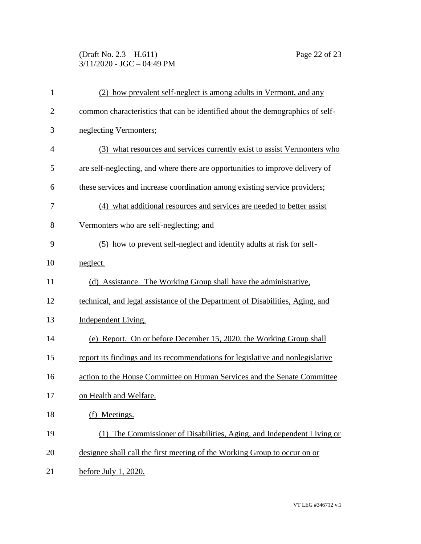# (Draft No. 2.3 – H.611) Page 22 of 23 3/11/2020 - JGC – 04:49 PM

| $\mathbf{1}$   | (2) how prevalent self-neglect is among adults in Vermont, and any             |
|----------------|--------------------------------------------------------------------------------|
| $\overline{2}$ | common characteristics that can be identified about the demographics of self-  |
| 3              | neglecting Vermonters;                                                         |
| $\overline{4}$ | (3) what resources and services currently exist to assist Vermonters who       |
| 5              | are self-neglecting, and where there are opportunities to improve delivery of  |
| 6              | these services and increase coordination among existing service providers;     |
| 7              | (4) what additional resources and services are needed to better assist         |
| 8              | Vermonters who are self-neglecting; and                                        |
| 9              | (5) how to prevent self-neglect and identify adults at risk for self-          |
| 10             | neglect.                                                                       |
| 11             | (d) Assistance. The Working Group shall have the administrative.               |
| 12             | technical, and legal assistance of the Department of Disabilities, Aging, and  |
| 13             | Independent Living.                                                            |
| 14             | (e) Report. On or before December 15, 2020, the Working Group shall            |
| 15             | report its findings and its recommendations for legislative and nonlegislative |
| 16             | action to the House Committee on Human Services and the Senate Committee       |
| 17             | on Health and Welfare.                                                         |
| 18             | (f) Meetings.                                                                  |
| 19             | (1) The Commissioner of Disabilities, Aging, and Independent Living or         |
| 20             | designee shall call the first meeting of the Working Group to occur on or      |
| 21             | before July 1, 2020.                                                           |